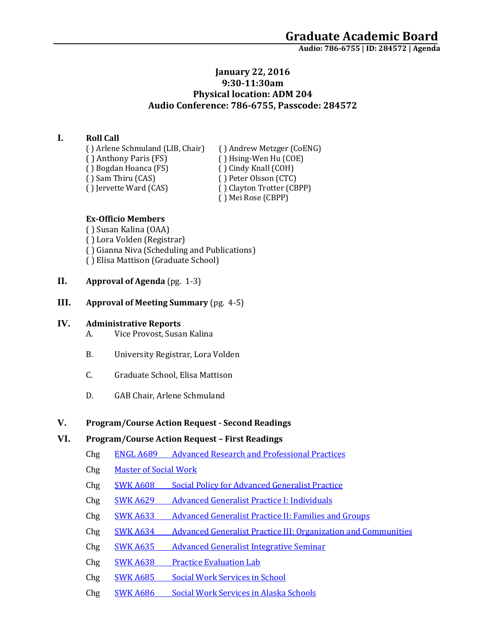# **January 22, 2016 9:30-11:30am Physical location: ADM 204 Audio Conference: 786-6755, Passcode: 284572**

# **I. Roll Call**

( ) Arlene Schmuland (LIB, Chair) ( ) Andrew Metzger (CoENG)<br>( ) Anthony Paris (FS) ( ) Hsing-Wen Hu (COE) ( ) Bogdan Hoanca (FS)<br>( ) Sam Thiru (CAS) ( ) Sam Thiru (CAS) ( ) Peter Olsson (CTC)<br>( ) Jervette Ward (CAS) ( ) Clayton Trotter (CB

( ) Hsing-Wen Hu (COE)<br>( ) Cindy Knall (COH) ( ) Clayton Trotter (CBPP) ( ) Mei Rose (CBPP)

### **Ex-Officio Members**

( ) Susan Kalina (OAA) ( ) Lora Volden (Registrar) ( ) Gianna Niva (Scheduling and Publications) ( ) Elisa Mattison (Graduate School)

- **II. Approval of Agenda** (pg. 1-3)
- **III. Approval of Meeting Summary** (pg. 4-5)

## **IV. Administrative Reports**

- A. Vice Provost, Susan Kalina
- B. University Registrar, Lora Volden
- C. Graduate School, Elisa Mattison
- D. GAB Chair, Arlene Schmuland

## **V. Program/Course Action Request - Second Readings**

## **VI. Program/Course Action Request – First Readings**

- Chg ENGL A689 [Advanced Research and Professional Practices](https://nextcatalog.uaa.alaska.edu/courseleaf/courseleaf.cgi?page=/courseadmin/3109/index.html&step=tcadiff)
- Chg [Master of Social Work](https://nextcatalog.uaa.alaska.edu/courseleaf/courseleaf.cgi?page=/programadmin/42/index.html&step=tcadiff)
- Chg SWK A608 [Social Policy for Advanced Generalist Practice](https://nextcatalog.uaa.alaska.edu/courseleaf/courseleaf.cgi?page=/courseadmin/5908/index.html&step=tcadiff)
- Chg SWK A629 [Advanced Generalist Practice I: Individuals](https://nextcatalog.uaa.alaska.edu/courseleaf/courseleaf.cgi?page=/courseadmin/5912/index.html&step=tcadiff)
- Chg SWK A633 [Advanced Generalist Practice II: Families and Groups](https://nextcatalog.uaa.alaska.edu/courseleaf/courseleaf.cgi?page=/courseadmin/5920/index.html&step=tcadiff)
- Chg SWK A634 [Advanced Generalist Practice III: Organization and Communities](https://nextcatalog.uaa.alaska.edu/courseleaf/courseleaf.cgi?page=/courseadmin/5923/index.html&step=tcadiff)
- Chg SWK A635 [Advanced Generalist Integrative Seminar](https://nextcatalog.uaa.alaska.edu/courseleaf/courseleaf.cgi?page=/courseadmin/5926/index.html&step=tcadiff)
- Chg **SWK A638** [Practice Evaluation Lab](https://nextcatalog.uaa.alaska.edu/courseleaf/courseleaf.cgi?page=/courseadmin/5928/index.html&step=tcadiff)
- Chg SWK A685 [Social Work Services in School](https://nextcatalog.uaa.alaska.edu/courseleaf/courseleaf.cgi?page=/courseadmin/5970/index.html&step=tcadiff)
- Chg SWK A686 [Social Work Services in Alaska Schools](https://nextcatalog.uaa.alaska.edu/courseleaf/courseleaf.cgi?page=/courseadmin/5971/index.html&step=tcadiff)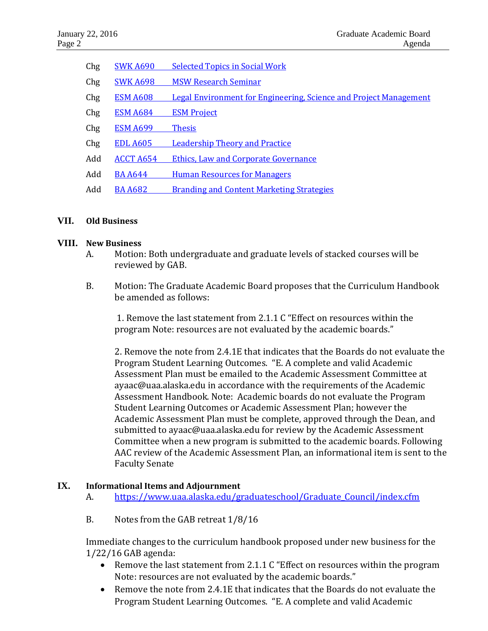| Chg | <b>SWK A690</b>  | <b>Selected Topics in Social Work</b>                                    |
|-----|------------------|--------------------------------------------------------------------------|
| Chg | <b>SWK A698</b>  | <b>MSW Research Seminar</b>                                              |
| Chg | <b>ESM A608</b>  | <b>Legal Environment for Engineering, Science and Project Management</b> |
| Chg | <b>ESM A684</b>  | <b>ESM Project</b>                                                       |
| Chg | <b>ESM A699</b>  | <b>Thesis</b>                                                            |
| Chg | <b>EDL A605</b>  | <b>Leadership Theory and Practice</b>                                    |
| Add | <b>ACCT A654</b> | <b>Ethics, Law and Corporate Governance</b>                              |
| Add | <b>BA A644</b>   | <b>Human Resources for Managers</b>                                      |
| Add | <b>BA A682</b>   | <b>Branding and Content Marketing Strategies</b>                         |
|     |                  |                                                                          |

### **VII. Old Business**

### **VIII. New Business**

- A. Motion: Both undergraduate and graduate levels of stacked courses will be reviewed by GAB.
- B. Motion: The Graduate Academic Board proposes that the Curriculum Handbook be amended as follows:

1. Remove the last statement from 2.1.1 C "Effect on resources within the program Note: resources are not evaluated by the academic boards."

2. Remove the note from 2.4.1E that indicates that the Boards do not evaluate the Program Student Learning Outcomes. "E. A complete and valid Academic Assessment Plan must be emailed to the Academic Assessment Committee at ayaac@uaa.alaska.edu in accordance with the requirements of the Academic Assessment Handbook. Note: Academic boards do not evaluate the Program Student Learning Outcomes or Academic Assessment Plan; however the Academic Assessment Plan must be complete, approved through the Dean, and submitted to ayaac@uaa.alaska.edu for review by the Academic Assessment Committee when a new program is submitted to the academic boards. Following AAC review of the Academic Assessment Plan, an informational item is sent to the Faculty Senate

## **IX. Informational Items and Adjournment**

- A. https://www.uaa.alaska.edu/graduateschool/Graduate Council/index.cfm
- B. Notes from the GAB retreat 1/8/16

Immediate changes to the curriculum handbook proposed under new business for the 1/22/16 GAB agenda:

- Remove the last statement from 2.1.1 C "Effect on resources within the program Note: resources are not evaluated by the academic boards."
- Remove the note from 2.4.1E that indicates that the Boards do not evaluate the Program Student Learning Outcomes. "E. A complete and valid Academic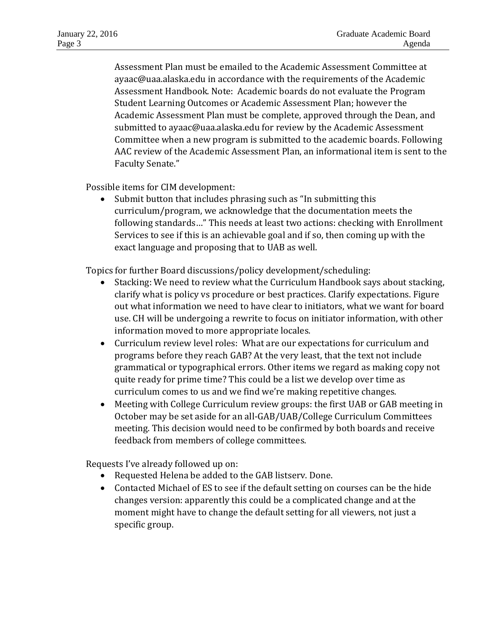Assessment Plan must be emailed to the Academic Assessment Committee at ayaac@uaa.alaska.edu in accordance with the requirements of the Academic Assessment Handbook. Note: Academic boards do not evaluate the Program Student Learning Outcomes or Academic Assessment Plan; however the Academic Assessment Plan must be complete, approved through the Dean, and submitted to ayaac@uaa.alaska.edu for review by the Academic Assessment Committee when a new program is submitted to the academic boards. Following AAC review of the Academic Assessment Plan, an informational item is sent to the Faculty Senate."

Possible items for CIM development:

• Submit button that includes phrasing such as "In submitting this curriculum/program, we acknowledge that the documentation meets the following standards…" This needs at least two actions: checking with Enrollment Services to see if this is an achievable goal and if so, then coming up with the exact language and proposing that to UAB as well.

Topics for further Board discussions/policy development/scheduling:

- Stacking: We need to review what the Curriculum Handbook says about stacking, clarify what is policy vs procedure or best practices. Clarify expectations. Figure out what information we need to have clear to initiators, what we want for board use. CH will be undergoing a rewrite to focus on initiator information, with other information moved to more appropriate locales.
- Curriculum review level roles: What are our expectations for curriculum and programs before they reach GAB? At the very least, that the text not include grammatical or typographical errors. Other items we regard as making copy not quite ready for prime time? This could be a list we develop over time as curriculum comes to us and we find we're making repetitive changes.
- Meeting with College Curriculum review groups: the first UAB or GAB meeting in October may be set aside for an all-GAB/UAB/College Curriculum Committees meeting. This decision would need to be confirmed by both boards and receive feedback from members of college committees.

Requests I've already followed up on:

- Requested Helena be added to the GAB listserv. Done.
- Contacted Michael of ES to see if the default setting on courses can be the hide changes version: apparently this could be a complicated change and at the moment might have to change the default setting for all viewers, not just a specific group.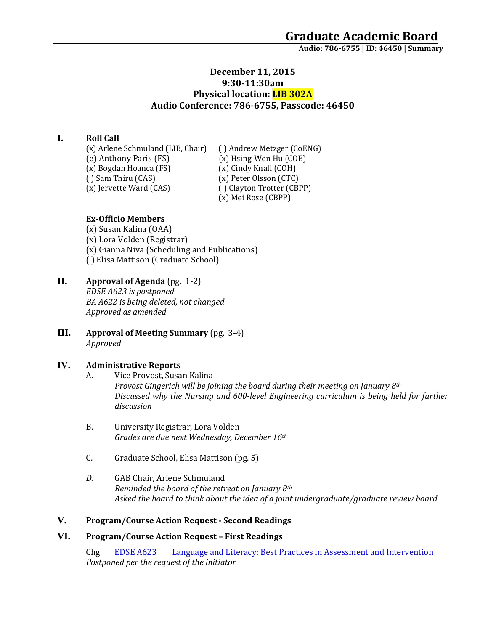# **December 11, 2015 9:30-11:30am Physical location: LIB 302A Audio Conference: 786-6755, Passcode: 46450**

### **I. Roll Call**

(x) Arlene Schmuland (LIB, Chair) ( ) Andrew Metzger (CoENG)<br>(e) Anthony Paris (FS) (x) Hsing-Wen Hu (COE) (x) Bogdan Hoanca (FS)<br>() Sam Thiru (CAS) (x) Jervette Ward (CAS)

(x) Hsing-Wen Hu (COE)<br>(x) Cindy Knall (COH) (x) Peter Olsson (CTC)<br>() Clayton Trotter (CBPP) (x) Mei Rose (CBPP)

### **Ex-Officio Members**

(x) Susan Kalina (OAA) (x) Lora Volden (Registrar) (x) Gianna Niva (Scheduling and Publications) ( ) Elisa Mattison (Graduate School)

- **II. Approval of Agenda** (pg. 1-2) *EDSE A623 is postponed BA A622 is being deleted, not changed Approved as amended*
- **III. Approval of Meeting Summary** (pg. 3-4) *Approved*

### **IV. Administrative Reports**

- A. Vice Provost, Susan Kalina *Provost Gingerich will be joining the board during their meeting on January 8th Discussed why the Nursing and 600-level Engineering curriculum is being held for further discussion*
- B. University Registrar, Lora Volden *Grades are due next Wednesday, December 16th*
- C. Graduate School, Elisa Mattison (pg. 5)
- *D.* GAB Chair, Arlene Schmuland *Reminded the board of the retreat on January 8th Asked the board to think about the idea of a joint undergraduate/graduate review board*

### **V. Program/Course Action Request - Second Readings**

### **VI. Program/Course Action Request – First Readings**

Chg EDSE A623 [Language and Literacy: Best Practices in Assessment and Intervention](https://nextcatalog.uaa.alaska.edu/courseleaf/courseleaf.cgi?page=/courseadmin/2853/index.html&step=tcadiff) *Postponed per the request of the initiator*